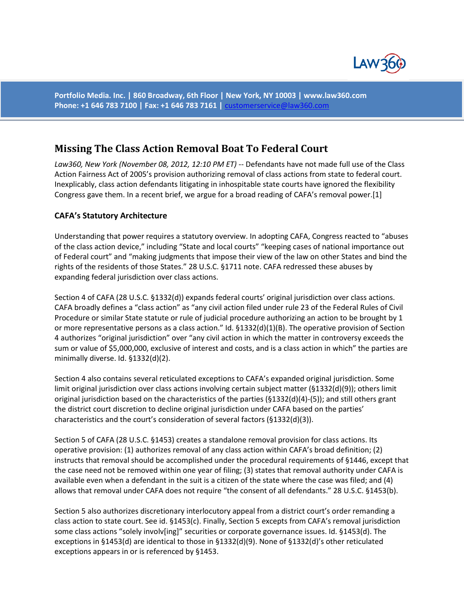

**Portfolio Media. Inc. | 860 Broadway, 6th Floor | New York, NY 10003 | www.law360.com Phone: +1 646 783 7100 | Fax: +1 646 783 7161 |** [customerservice@law360.com](mailto:customerservice@law360.com)

# **[Missing The Class Action Removal Boat To Federal Court](http://www.law360.com/articles/392013/missing-the-class-action-removal-boat-to-federal-court)**

*Law360, New York (November 08, 2012, 12:10 PM ET)* -- Defendants have not made full use of the Class Action Fairness Act of 2005's provision authorizing removal of class actions from state to federal court. Inexplicably, class action defendants litigating in inhospitable state courts have ignored the flexibility Congress gave them. In a recent brief, we argue for a broad reading of CAFA's removal power.[1]

#### **CAFA's Statutory Architecture**

Understanding that power requires a statutory overview. In adopting CAFA, Congress reacted to "abuses of the class action device," including "State and local courts" "keeping cases of national importance out of Federal court" and "making judgments that impose their view of the law on other States and bind the rights of the residents of those States." 28 U.S.C. §1711 note. CAFA redressed these abuses by expanding federal jurisdiction over class actions.

Section 4 of CAFA (28 U.S.C. §1332(d)) expands federal courts' original jurisdiction over class actions. CAFA broadly defines a "class action" as "any civil action filed under rule 23 of the Federal Rules of Civil Procedure or similar State statute or rule of judicial procedure authorizing an action to be brought by 1 or more representative persons as a class action." Id. §1332(d)(1)(B). The operative provision of Section 4 authorizes "original jurisdiction" over "any civil action in which the matter in controversy exceeds the sum or value of \$5,000,000, exclusive of interest and costs, and is a class action in which" the parties are minimally diverse. Id. §1332(d)(2).

Section 4 also contains several reticulated exceptions to CAFA's expanded original jurisdiction. Some limit original jurisdiction over class actions involving certain subject matter (§1332(d)(9)); others limit original jurisdiction based on the characteristics of the parties (§1332(d)(4)-(5)); and still others grant the district court discretion to decline original jurisdiction under CAFA based on the parties' characteristics and the court's consideration of several factors (§1332(d)(3)).

Section 5 of CAFA (28 U.S.C. §1453) creates a standalone removal provision for class actions. Its operative provision: (1) authorizes removal of any class action within CAFA's broad definition; (2) instructs that removal should be accomplished under the procedural requirements of §1446, except that the case need not be removed within one year of filing; (3) states that removal authority under CAFA is available even when a defendant in the suit is a citizen of the state where the case was filed; and (4) allows that removal under CAFA does not require "the consent of all defendants." 28 U.S.C. §1453(b).

Section 5 also authorizes discretionary interlocutory appeal from a district court's order remanding a class action to state court. See id. §1453(c). Finally, Section 5 excepts from CAFA's removal jurisdiction some class actions "solely involv[ing]" securities or corporate governance issues. Id. §1453(d). The exceptions in §1453(d) are identical to those in §1332(d)(9). None of §1332(d)'s other reticulated exceptions appears in or is referenced by §1453.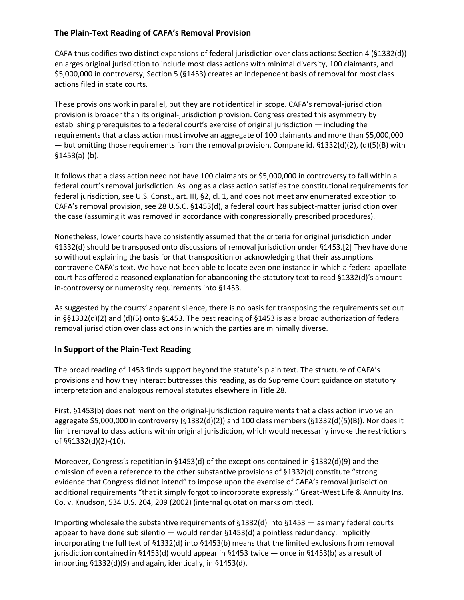## **The Plain-Text Reading of CAFA's Removal Provision**

CAFA thus codifies two distinct expansions of federal jurisdiction over class actions: Section 4 (§1332(d)) enlarges original jurisdiction to include most class actions with minimal diversity, 100 claimants, and \$5,000,000 in controversy; Section 5 (§1453) creates an independent basis of removal for most class actions filed in state courts.

These provisions work in parallel, but they are not identical in scope. CAFA's removal-jurisdiction provision is broader than its original-jurisdiction provision. Congress created this asymmetry by establishing prerequisites to a federal court's exercise of original jurisdiction — including the requirements that a class action must involve an aggregate of 100 claimants and more than \$5,000,000 — but omitting those requirements from the removal provision. Compare id. §1332(d)(2), (d)(5)(B) with §1453(a)-(b).

It follows that a class action need not have 100 claimants or \$5,000,000 in controversy to fall within a federal court's removal jurisdiction. As long as a class action satisfies the constitutional requirements for federal jurisdiction, see U.S. Const., art. III, §2, cl. 1, and does not meet any enumerated exception to CAFA's removal provision, see 28 U.S.C. §1453(d), a federal court has subject-matter jurisdiction over the case (assuming it was removed in accordance with congressionally prescribed procedures).

Nonetheless, lower courts have consistently assumed that the criteria for original jurisdiction under §1332(d) should be transposed onto discussions of removal jurisdiction under §1453.[2] They have done so without explaining the basis for that transposition or acknowledging that their assumptions contravene CAFA's text. We have not been able to locate even one instance in which a federal appellate court has offered a reasoned explanation for abandoning the statutory text to read §1332(d)'s amountin-controversy or numerosity requirements into §1453.

As suggested by the courts' apparent silence, there is no basis for transposing the requirements set out in §§1332(d)(2) and (d)(5) onto §1453. The best reading of §1453 is as a broad authorization of federal removal jurisdiction over class actions in which the parties are minimally diverse.

### **In Support of the Plain-Text Reading**

The broad reading of 1453 finds support beyond the statute's plain text. The structure of CAFA's provisions and how they interact buttresses this reading, as do Supreme Court guidance on statutory interpretation and analogous removal statutes elsewhere in Title 28.

First, §1453(b) does not mention the original-jurisdiction requirements that a class action involve an aggregate \$5,000,000 in controversy (§1332(d)(2)) and 100 class members (§1332(d)(5)(B)). Nor does it limit removal to class actions within original jurisdiction, which would necessarily invoke the restrictions of §§1332(d)(2)-(10).

Moreover, Congress's repetition in §1453(d) of the exceptions contained in §1332(d)(9) and the omission of even a reference to the other substantive provisions of §1332(d) constitute "strong evidence that Congress did not intend" to impose upon the exercise of CAFA's removal jurisdiction additional requirements "that it simply forgot to incorporate expressly." Great-West Life & Annuity Ins. Co. v. Knudson, 534 U.S. 204, 209 (2002) (internal quotation marks omitted).

Importing wholesale the substantive requirements of §1332(d) into §1453 — as many federal courts appear to have done sub silentio  $-$  would render  $\S 1453(d)$  a pointless redundancy. Implicitly incorporating the full text of §1332(d) into §1453(b) means that the limited exclusions from removal jurisdiction contained in §1453(d) would appear in §1453 twice — once in §1453(b) as a result of importing §1332(d)(9) and again, identically, in §1453(d).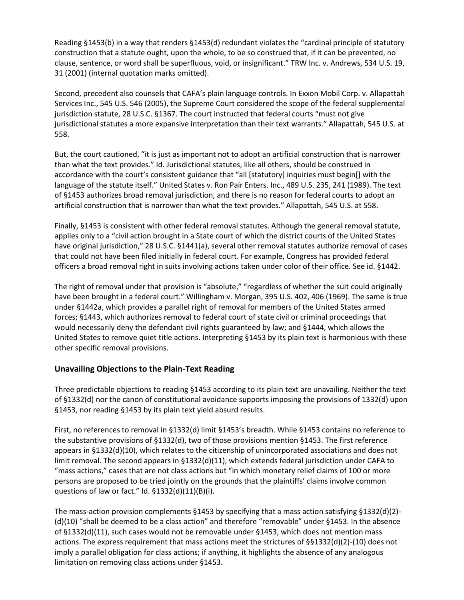Reading §1453(b) in a way that renders §1453(d) redundant violates the "cardinal principle of statutory construction that a statute ought, upon the whole, to be so construed that, if it can be prevented, no clause, sentence, or word shall be superfluous, void, or insignificant." TRW Inc. v. Andrews, 534 U.S. 19, 31 (2001) (internal quotation marks omitted).

Second, precedent also counsels that CAFA's plain language controls. In Exxon Mobil Corp. v. Allapattah Services Inc., 545 U.S. 546 (2005), the Supreme Court considered the scope of the federal supplemental jurisdiction statute, 28 U.S.C. §1367. The court instructed that federal courts "must not give jurisdictional statutes a more expansive interpretation than their text warrants." Allapattah, 545 U.S. at 558.

But, the court cautioned, "it is just as important not to adopt an artificial construction that is narrower than what the text provides." Id. Jurisdictional statutes, like all others, should be construed in accordance with the court's consistent guidance that "all [statutory] inquiries must begin[] with the language of the statute itself." United States v. Ron Pair Enters. Inc., 489 U.S. 235, 241 (1989). The text of §1453 authorizes broad removal jurisdiction, and there is no reason for federal courts to adopt an artificial construction that is narrower than what the text provides." Allapattah, 545 U.S. at 558.

Finally, §1453 is consistent with other federal removal statutes. Although the general removal statute, applies only to a "civil action brought in a State court of which the district courts of the United States have original jurisdiction," 28 U.S.C. §1441(a), several other removal statutes authorize removal of cases that could not have been filed initially in federal court. For example, Congress has provided federal officers a broad removal right in suits involving actions taken under color of their office. See id. §1442.

The right of removal under that provision is "absolute," "regardless of whether the suit could originally have been brought in a federal court." Willingham v. Morgan, 395 U.S. 402, 406 (1969). The same is true under §1442a, which provides a parallel right of removal for members of the United States armed forces; §1443, which authorizes removal to federal court of state civil or criminal proceedings that would necessarily deny the defendant civil rights guaranteed by law; and §1444, which allows the United States to remove quiet title actions. Interpreting §1453 by its plain text is harmonious with these other specific removal provisions.

#### **Unavailing Objections to the Plain-Text Reading**

Three predictable objections to reading §1453 according to its plain text are unavailing. Neither the text of §1332(d) nor the canon of constitutional avoidance supports imposing the provisions of 1332(d) upon §1453, nor reading §1453 by its plain text yield absurd results.

First, no references to removal in §1332(d) limit §1453's breadth. While §1453 contains no reference to the substantive provisions of §1332(d), two of those provisions mention §1453. The first reference appears in §1332(d)(10), which relates to the citizenship of unincorporated associations and does not limit removal. The second appears in §1332(d)(11), which extends federal jurisdiction under CAFA to "mass actions," cases that are not class actions but "in which monetary relief claims of 100 or more persons are proposed to be tried jointly on the grounds that the plaintiffs' claims involve common questions of law or fact." Id. §1332(d)(11)(B)(i).

The mass-action provision complements §1453 by specifying that a mass action satisfying §1332(d)(2)- (d)(10) "shall be deemed to be a class action" and therefore "removable" under §1453. In the absence of §1332(d)(11), such cases would not be removable under §1453, which does not mention mass actions. The express requirement that mass actions meet the strictures of §§1332(d)(2)-(10) does not imply a parallel obligation for class actions; if anything, it highlights the absence of any analogous limitation on removing class actions under §1453.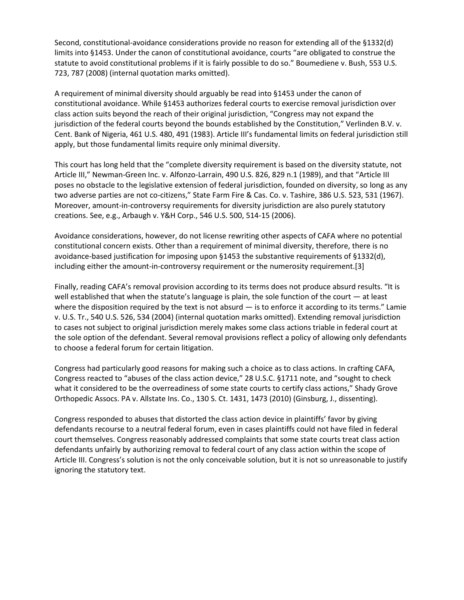Second, constitutional-avoidance considerations provide no reason for extending all of the §1332(d) limits into §1453. Under the canon of constitutional avoidance, courts "are obligated to construe the statute to avoid constitutional problems if it is fairly possible to do so." Boumediene v. Bush, 553 U.S. 723, 787 (2008) (internal quotation marks omitted).

A requirement of minimal diversity should arguably be read into §1453 under the canon of constitutional avoidance. While §1453 authorizes federal courts to exercise removal jurisdiction over class action suits beyond the reach of their original jurisdiction, "Congress may not expand the jurisdiction of the federal courts beyond the bounds established by the Constitution," Verlinden B.V. v. Cent. Bank of Nigeria, 461 U.S. 480, 491 (1983). Article III's fundamental limits on federal jurisdiction still apply, but those fundamental limits require only minimal diversity.

This court has long held that the "complete diversity requirement is based on the diversity statute, not Article III," Newman-Green Inc. v. Alfonzo-Larrain, 490 U.S. 826, 829 n.1 (1989), and that "Article III poses no obstacle to the legislative extension of federal jurisdiction, founded on diversity, so long as any two adverse parties are not co-citizens," State Farm Fire & Cas. Co. v. Tashire, 386 U.S. 523, 531 (1967). Moreover, amount-in-controversy requirements for diversity jurisdiction are also purely statutory creations. See, e.g., Arbaugh v. Y&H Corp., 546 U.S. 500, 514-15 (2006).

Avoidance considerations, however, do not license rewriting other aspects of CAFA where no potential constitutional concern exists. Other than a requirement of minimal diversity, therefore, there is no avoidance-based justification for imposing upon §1453 the substantive requirements of §1332(d), including either the amount-in-controversy requirement or the numerosity requirement.[3]

Finally, reading CAFA's removal provision according to its terms does not produce absurd results. "It is well established that when the statute's language is plain, the sole function of the court — at least where the disposition required by the text is not absurd  $-$  is to enforce it according to its terms." Lamie v. U.S. Tr., 540 U.S. 526, 534 (2004) (internal quotation marks omitted). Extending removal jurisdiction to cases not subject to original jurisdiction merely makes some class actions triable in federal court at the sole option of the defendant. Several removal provisions reflect a policy of allowing only defendants to choose a federal forum for certain litigation.

Congress had particularly good reasons for making such a choice as to class actions. In crafting CAFA, Congress reacted to "abuses of the class action device," 28 U.S.C. §1711 note, and "sought to check what it considered to be the overreadiness of some state courts to certify class actions," Shady Grove Orthopedic Assocs. PA v. Allstate Ins. Co., 130 S. Ct. 1431, 1473 (2010) (Ginsburg, J., dissenting).

Congress responded to abuses that distorted the class action device in plaintiffs' favor by giving defendants recourse to a neutral federal forum, even in cases plaintiffs could not have filed in federal court themselves. Congress reasonably addressed complaints that some state courts treat class action defendants unfairly by authorizing removal to federal court of any class action within the scope of Article III. Congress's solution is not the only conceivable solution, but it is not so unreasonable to justify ignoring the statutory text.